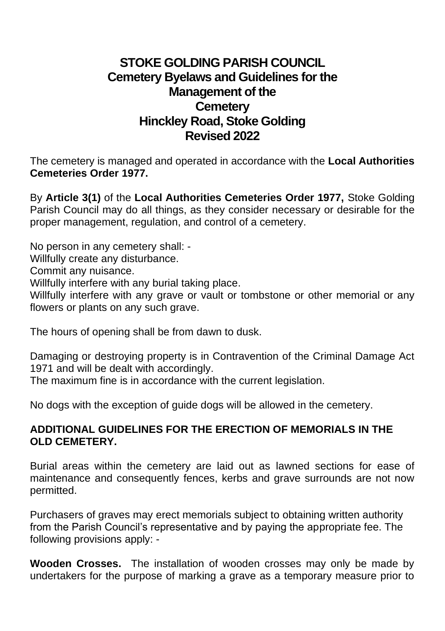## **STOKE GOLDING PARISH COUNCIL Cemetery Byelaws and Guidelines for the Management of the Cemetery Hinckley Road, Stoke Golding Revised 2022**

The cemetery is managed and operated in accordance with the **Local Authorities Cemeteries Order 1977.**

By **Article 3(1)** of the **Local Authorities Cemeteries Order 1977,** Stoke Golding Parish Council may do all things, as they consider necessary or desirable for the proper management, regulation, and control of a cemetery.

No person in any cemetery shall: -

Willfully create any disturbance.

Commit any nuisance.

Willfully interfere with any burial taking place.

Willfully interfere with any grave or vault or tombstone or other memorial or any flowers or plants on any such grave.

The hours of opening shall be from dawn to dusk.

Damaging or destroying property is in Contravention of the Criminal Damage Act 1971 and will be dealt with accordingly.

The maximum fine is in accordance with the current legislation.

No dogs with the exception of guide dogs will be allowed in the cemetery.

## **ADDITIONAL GUIDELINES FOR THE ERECTION OF MEMORIALS IN THE OLD CEMETERY.**

Burial areas within the cemetery are laid out as lawned sections for ease of maintenance and consequently fences, kerbs and grave surrounds are not now permitted.

Purchasers of graves may erect memorials subject to obtaining written authority from the Parish Council's representative and by paying the appropriate fee. The following provisions apply: -

**Wooden Crosses.** The installation of wooden crosses may only be made by undertakers for the purpose of marking a grave as a temporary measure prior to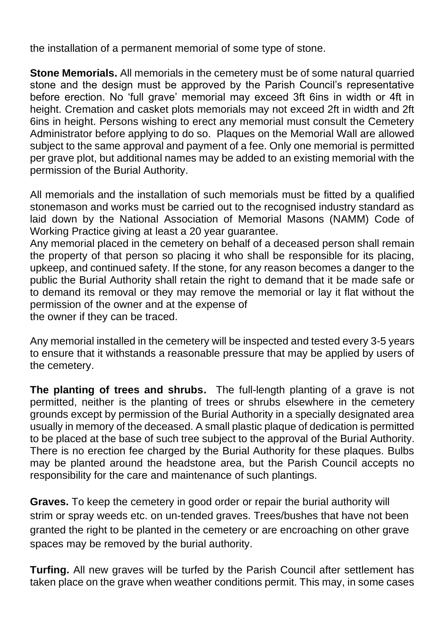the installation of a permanent memorial of some type of stone.

**Stone Memorials.** All memorials in the cemetery must be of some natural quarried stone and the design must be approved by the Parish Council's representative before erection. No 'full grave' memorial may exceed 3ft 6ins in width or 4ft in height. Cremation and casket plots memorials may not exceed 2ft in width and 2ft 6ins in height. Persons wishing to erect any memorial must consult the Cemetery Administrator before applying to do so. Plaques on the Memorial Wall are allowed subject to the same approval and payment of a fee. Only one memorial is permitted per grave plot, but additional names may be added to an existing memorial with the permission of the Burial Authority.

All memorials and the installation of such memorials must be fitted by a qualified stonemason and works must be carried out to the recognised industry standard as laid down by the National Association of Memorial Masons (NAMM) Code of Working Practice giving at least a 20 year guarantee.

Any memorial placed in the cemetery on behalf of a deceased person shall remain the property of that person so placing it who shall be responsible for its placing, upkeep, and continued safety. If the stone, for any reason becomes a danger to the public the Burial Authority shall retain the right to demand that it be made safe or to demand its removal or they may remove the memorial or lay it flat without the permission of the owner and at the expense of the owner if they can be traced.

Any memorial installed in the cemetery will be inspected and tested every 3-5 years to ensure that it withstands a reasonable pressure that may be applied by users of the cemetery.

**The planting of trees and shrubs.** The full-length planting of a grave is not permitted, neither is the planting of trees or shrubs elsewhere in the cemetery grounds except by permission of the Burial Authority in a specially designated area usually in memory of the deceased. A small plastic plaque of dedication is permitted to be placed at the base of such tree subject to the approval of the Burial Authority. There is no erection fee charged by the Burial Authority for these plaques. Bulbs may be planted around the headstone area, but the Parish Council accepts no responsibility for the care and maintenance of such plantings.

**Graves.** To keep the cemetery in good order or repair the burial authority will strim or spray weeds etc. on un-tended graves. Trees/bushes that have not been granted the right to be planted in the cemetery or are encroaching on other grave spaces may be removed by the burial authority.

**Turfing.** All new graves will be turfed by the Parish Council after settlement has taken place on the grave when weather conditions permit. This may, in some cases